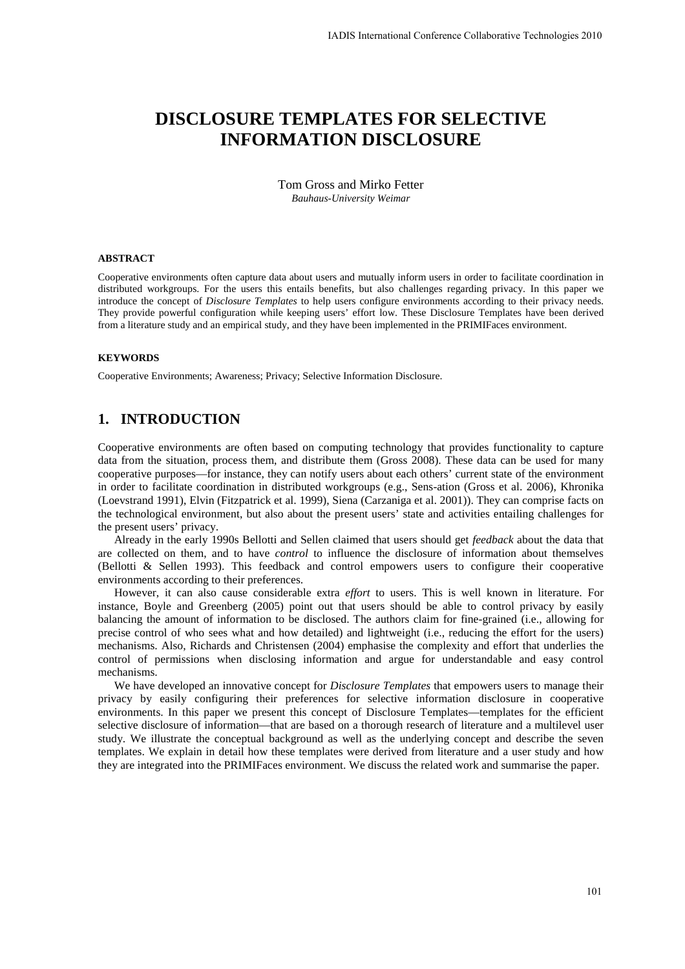# **DISCLOSURE TEMPLATES FOR SELECTIVE INFORMATION DISCLOSURE**

Tom Gross and Mirko Fetter *Bauhaus-University Weimar* 

#### **ABSTRACT**

Cooperative environments often capture data about users and mutually inform users in order to facilitate coordination in distributed workgroups. For the users this entails benefits, but also challenges regarding privacy. In this paper we introduce the concept of *Disclosure Templates* to help users configure environments according to their privacy needs. They provide powerful configuration while keeping users' effort low. These Disclosure Templates have been derived from a literature study and an empirical study, and they have been implemented in the PRIMIFaces environment.

#### **KEYWORDS**

Cooperative Environments; Awareness; Privacy; Selective Information Disclosure.

#### **1. INTRODUCTION**

Cooperative environments are often based on computing technology that provides functionality to capture data from the situation, process them, and distribute them (Gross 2008). These data can be used for many cooperative purposes—for instance, they can notify users about each others' current state of the environment in order to facilitate coordination in distributed workgroups (e.g., Sens-ation (Gross et al. 2006), Khronika (Loevstrand 1991), Elvin (Fitzpatrick et al. 1999), Siena (Carzaniga et al. 2001)). They can comprise facts on the technological environment, but also about the present users' state and activities entailing challenges for the present users' privacy.

Already in the early 1990s Bellotti and Sellen claimed that users should get *feedback* about the data that are collected on them, and to have *control* to influence the disclosure of information about themselves (Bellotti & Sellen 1993). This feedback and control empowers users to configure their cooperative environments according to their preferences.

However, it can also cause considerable extra *effort* to users. This is well known in literature. For instance, Boyle and Greenberg (2005) point out that users should be able to control privacy by easily balancing the amount of information to be disclosed. The authors claim for fine-grained (i.e., allowing for precise control of who sees what and how detailed) and lightweight (i.e., reducing the effort for the users) mechanisms. Also, Richards and Christensen (2004) emphasise the complexity and effort that underlies the control of permissions when disclosing information and argue for understandable and easy control mechanisms.

We have developed an innovative concept for *Disclosure Templates* that empowers users to manage their privacy by easily configuring their preferences for selective information disclosure in cooperative environments. In this paper we present this concept of Disclosure Templates—templates for the efficient selective disclosure of information—that are based on a thorough research of literature and a multilevel user study. We illustrate the conceptual background as well as the underlying concept and describe the seven templates. We explain in detail how these templates were derived from literature and a user study and how they are integrated into the PRIMIFaces environment. We discuss the related work and summarise the paper.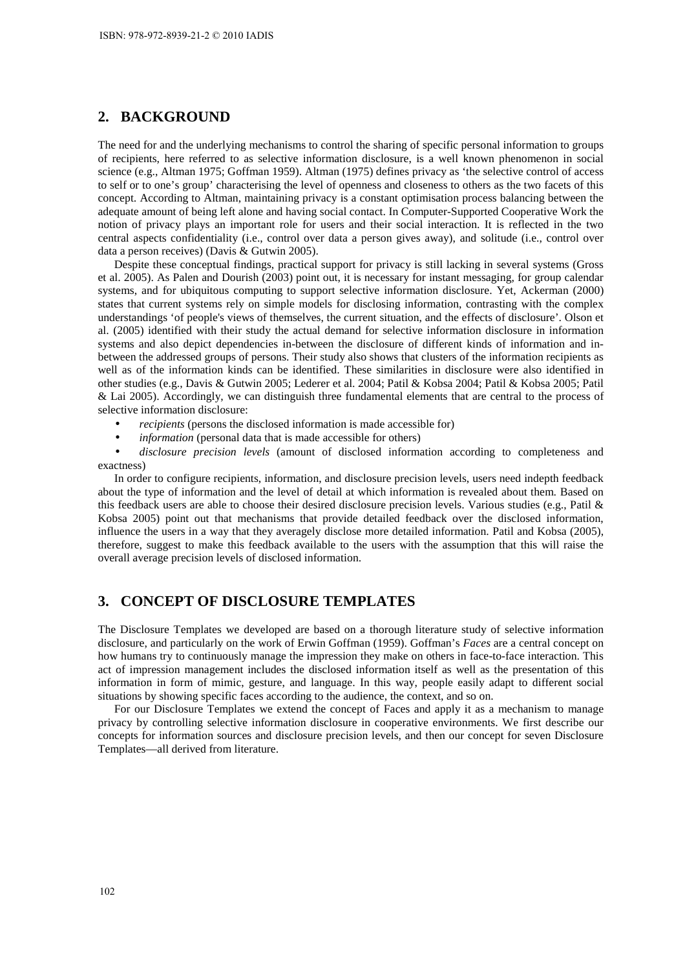# **2. BACKGROUND**

The need for and the underlying mechanisms to control the sharing of specific personal information to groups of recipients, here referred to as selective information disclosure, is a well known phenomenon in social science (e.g., Altman 1975; Goffman 1959). Altman (1975) defines privacy as 'the selective control of access to self or to one's group' characterising the level of openness and closeness to others as the two facets of this concept. According to Altman, maintaining privacy is a constant optimisation process balancing between the adequate amount of being left alone and having social contact. In Computer-Supported Cooperative Work the notion of privacy plays an important role for users and their social interaction. It is reflected in the two central aspects confidentiality (i.e., control over data a person gives away), and solitude (i.e., control over data a person receives) (Davis & Gutwin 2005).

Despite these conceptual findings, practical support for privacy is still lacking in several systems (Gross et al. 2005). As Palen and Dourish (2003) point out, it is necessary for instant messaging, for group calendar systems, and for ubiquitous computing to support selective information disclosure. Yet, Ackerman (2000) states that current systems rely on simple models for disclosing information, contrasting with the complex understandings 'of people's views of themselves, the current situation, and the effects of disclosure'. Olson et al. (2005) identified with their study the actual demand for selective information disclosure in information systems and also depict dependencies in-between the disclosure of different kinds of information and inbetween the addressed groups of persons. Their study also shows that clusters of the information recipients as well as of the information kinds can be identified. These similarities in disclosure were also identified in other studies (e.g., Davis & Gutwin 2005; Lederer et al. 2004; Patil & Kobsa 2004; Patil & Kobsa 2005; Patil & Lai 2005). Accordingly, we can distinguish three fundamental elements that are central to the process of selective information disclosure:

- *recipients* (persons the disclosed information is made accessible for)
- *information* (personal data that is made accessible for others)

• *disclosure precision levels* (amount of disclosed information according to completeness and exactness)

In order to configure recipients, information, and disclosure precision levels, users need indepth feedback about the type of information and the level of detail at which information is revealed about them. Based on this feedback users are able to choose their desired disclosure precision levels. Various studies (e.g., Patil & Kobsa 2005) point out that mechanisms that provide detailed feedback over the disclosed information, influence the users in a way that they averagely disclose more detailed information. Patil and Kobsa (2005), therefore, suggest to make this feedback available to the users with the assumption that this will raise the overall average precision levels of disclosed information.

# **3. CONCEPT OF DISCLOSURE TEMPLATES**

The Disclosure Templates we developed are based on a thorough literature study of selective information disclosure, and particularly on the work of Erwin Goffman (1959). Goffman's *Faces* are a central concept on how humans try to continuously manage the impression they make on others in face-to-face interaction. This act of impression management includes the disclosed information itself as well as the presentation of this information in form of mimic, gesture, and language. In this way, people easily adapt to different social situations by showing specific faces according to the audience, the context, and so on.

For our Disclosure Templates we extend the concept of Faces and apply it as a mechanism to manage privacy by controlling selective information disclosure in cooperative environments. We first describe our concepts for information sources and disclosure precision levels, and then our concept for seven Disclosure Templates—all derived from literature.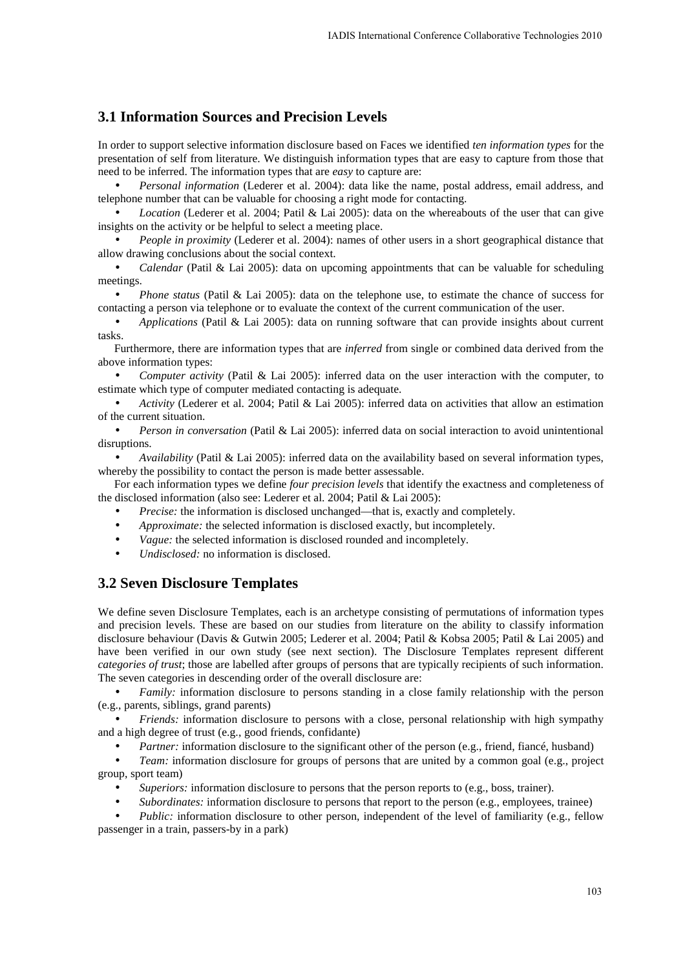# **3.1 Information Sources and Precision Levels**

In order to support selective information disclosure based on Faces we identified *ten information types* for the presentation of self from literature. We distinguish information types that are easy to capture from those that need to be inferred. The information types that are *easy* to capture are:

• *Personal information* (Lederer et al. 2004): data like the name, postal address, email address, and telephone number that can be valuable for choosing a right mode for contacting.

• *Location* (Lederer et al. 2004; Patil & Lai 2005): data on the whereabouts of the user that can give insights on the activity or be helpful to select a meeting place.

• *People in proximity* (Lederer et al. 2004): names of other users in a short geographical distance that allow drawing conclusions about the social context.

• *Calendar* (Patil & Lai 2005): data on upcoming appointments that can be valuable for scheduling meetings.

• *Phone status* (Patil & Lai 2005): data on the telephone use, to estimate the chance of success for contacting a person via telephone or to evaluate the context of the current communication of the user.

• *Applications* (Patil & Lai 2005): data on running software that can provide insights about current tasks.

Furthermore, there are information types that are *inferred* from single or combined data derived from the above information types:

• *Computer activity* (Patil & Lai 2005): inferred data on the user interaction with the computer, to estimate which type of computer mediated contacting is adequate.

• *Activity* (Lederer et al. 2004; Patil & Lai 2005): inferred data on activities that allow an estimation of the current situation.

• *Person in conversation* (Patil & Lai 2005): inferred data on social interaction to avoid unintentional disruptions.

• *Availability* (Patil & Lai 2005): inferred data on the availability based on several information types, whereby the possibility to contact the person is made better assessable.

For each information types we define *four precision levels* that identify the exactness and completeness of the disclosed information (also see: Lederer et al. 2004; Patil & Lai 2005):

- *Precise:* the information is disclosed unchanged—that is, exactly and completely.
- *Approximate:* the selected information is disclosed exactly, but incompletely.
- *Vague:* the selected information is disclosed rounded and incompletely.
- *Undisclosed:* no information is disclosed.

# **3.2 Seven Disclosure Templates**

We define seven Disclosure Templates, each is an archetype consisting of permutations of information types and precision levels. These are based on our studies from literature on the ability to classify information disclosure behaviour (Davis & Gutwin 2005; Lederer et al. 2004; Patil & Kobsa 2005; Patil & Lai 2005) and have been verified in our own study (see next section). The Disclosure Templates represent different *categories of trust*; those are labelled after groups of persons that are typically recipients of such information. The seven categories in descending order of the overall disclosure are:

*Family:* information disclosure to persons standing in a close family relationship with the person (e.g., parents, siblings, grand parents)

• *Friends:* information disclosure to persons with a close, personal relationship with high sympathy and a high degree of trust (e.g., good friends, confidante)

*Partner:* information disclosure to the significant other of the person (e.g., friend, fiancé, husband)

• *Team:* information disclosure for groups of persons that are united by a common goal (e.g., project group, sport team)

- *Superiors:* information disclosure to persons that the person reports to (e.g., boss, trainer).
- *Subordinates:* information disclosure to persons that report to the person (e.g., employees, trainee)

*Public:* information disclosure to other person, independent of the level of familiarity (e.g., fellow passenger in a train, passers-by in a park)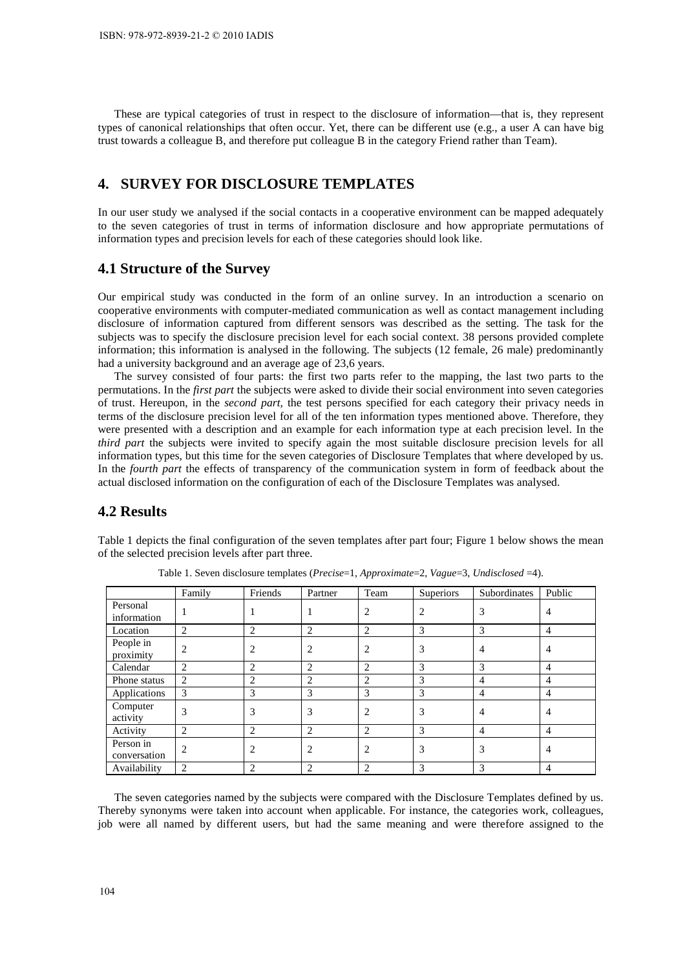These are typical categories of trust in respect to the disclosure of information—that is, they represent types of canonical relationships that often occur. Yet, there can be different use (e.g., a user A can have big trust towards a colleague B, and therefore put colleague B in the category Friend rather than Team).

# **4. SURVEY FOR DISCLOSURE TEMPLATES**

In our user study we analysed if the social contacts in a cooperative environment can be mapped adequately to the seven categories of trust in terms of information disclosure and how appropriate permutations of information types and precision levels for each of these categories should look like.

#### **4.1 Structure of the Survey**

Our empirical study was conducted in the form of an online survey. In an introduction a scenario on cooperative environments with computer-mediated communication as well as contact management including disclosure of information captured from different sensors was described as the setting. The task for the subjects was to specify the disclosure precision level for each social context. 38 persons provided complete information; this information is analysed in the following. The subjects (12 female, 26 male) predominantly had a university background and an average age of 23,6 years.

The survey consisted of four parts: the first two parts refer to the mapping, the last two parts to the permutations. In the *first part* the subjects were asked to divide their social environment into seven categories of trust. Hereupon, in the *second part,* the test persons specified for each category their privacy needs in terms of the disclosure precision level for all of the ten information types mentioned above. Therefore, they were presented with a description and an example for each information type at each precision level. In the *third part* the subjects were invited to specify again the most suitable disclosure precision levels for all information types, but this time for the seven categories of Disclosure Templates that where developed by us. In the *fourth part* the effects of transparency of the communication system in form of feedback about the actual disclosed information on the configuration of each of the Disclosure Templates was analysed.

### **4.2 Results**

Table 1 depicts the final configuration of the seven templates after part four; Figure 1 below shows the mean of the selected precision levels after part three.

|                           | Family         | Friends        | Partner        | Team           | Superiors      | Subordinates   | Public         |
|---------------------------|----------------|----------------|----------------|----------------|----------------|----------------|----------------|
| Personal<br>information   |                |                |                | 2              | $\overline{2}$ | 3              | 4              |
| Location                  | 2              | $\overline{2}$ | 2              | 2              | 3              | 3              | 4              |
| People in<br>proximity    | $\overline{c}$ | $\overline{2}$ | 2              | 2              | 3              | 4              | 4              |
| Calendar                  | 2              | 2              | 2              | 2              | 3              | 3              | 4              |
| Phone status              | 2              | $\overline{2}$ | 2              | 2              | 3              | $\overline{4}$ | 4              |
| Applications              | 3              | 3              | 3              | 3              | 3              | 4              | $\overline{4}$ |
| Computer<br>activity      | 3              | 3              | 3              | $\overline{c}$ | 3              | $\overline{4}$ | 4              |
| Activity                  | 2              | $\overline{2}$ | $\overline{c}$ | $\overline{2}$ | 3              | $\overline{4}$ | $\overline{4}$ |
| Person in<br>conversation | $\overline{c}$ | $\overline{2}$ | 2              | 2              | 3              | 3              | 4              |
| Availability              | 2              | $\overline{c}$ | 2              | 2              | 3              | 3              | 4              |

Table 1. Seven disclosure templates (*Precise*=1, *Approximate*=2, *Vague*=3, *Undisclosed* =4).

The seven categories named by the subjects were compared with the Disclosure Templates defined by us. Thereby synonyms were taken into account when applicable. For instance, the categories work, colleagues, job were all named by different users, but had the same meaning and were therefore assigned to the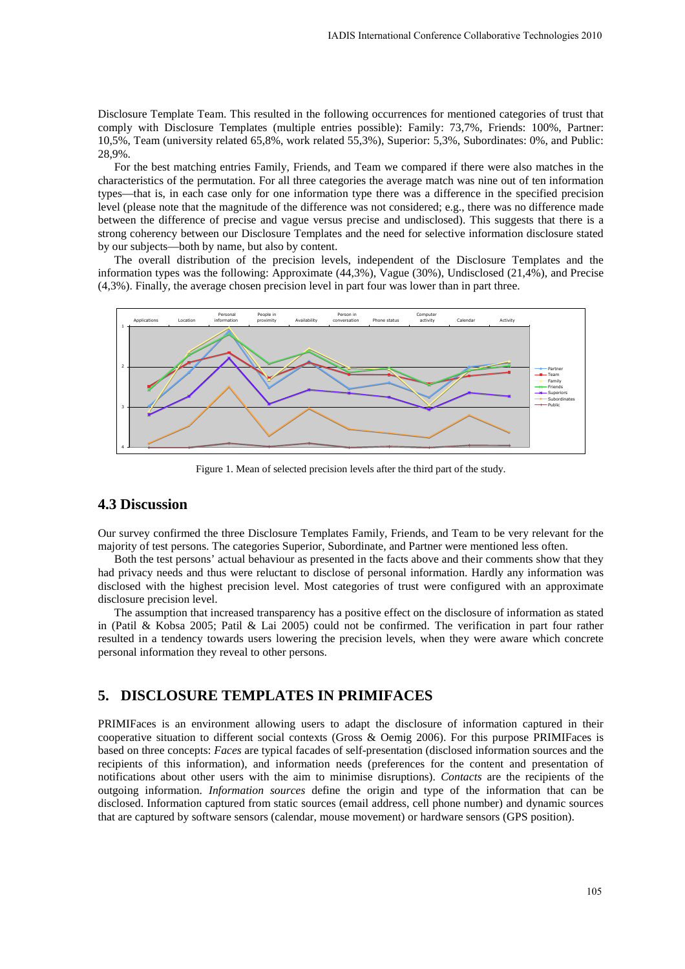Disclosure Template Team. This resulted in the following occurrences for mentioned categories of trust that comply with Disclosure Templates (multiple entries possible): Family: 73,7%, Friends: 100%, Partner: 10,5%, Team (university related 65,8%, work related 55,3%), Superior: 5,3%, Subordinates: 0%, and Public: 28,9%.

For the best matching entries Family, Friends, and Team we compared if there were also matches in the characteristics of the permutation. For all three categories the average match was nine out of ten information types—that is, in each case only for one information type there was a difference in the specified precision level (please note that the magnitude of the difference was not considered; e.g., there was no difference made between the difference of precise and vague versus precise and undisclosed). This suggests that there is a strong coherency between our Disclosure Templates and the need for selective information disclosure stated by our subjects—both by name, but also by content.

The overall distribution of the precision levels, independent of the Disclosure Templates and the information types was the following: Approximate (44,3%), Vague (30%), Undisclosed (21,4%), and Precise (4,3%). Finally, the average chosen precision level in part four was lower than in part three.



Figure 1. Mean of selected precision levels after the third part of the study.

## **4.3 Discussion**

Our survey confirmed the three Disclosure Templates Family, Friends, and Team to be very relevant for the majority of test persons. The categories Superior, Subordinate, and Partner were mentioned less often.

Both the test persons' actual behaviour as presented in the facts above and their comments show that they had privacy needs and thus were reluctant to disclose of personal information. Hardly any information was disclosed with the highest precision level. Most categories of trust were configured with an approximate disclosure precision level.

The assumption that increased transparency has a positive effect on the disclosure of information as stated in (Patil & Kobsa 2005; Patil & Lai 2005) could not be confirmed. The verification in part four rather resulted in a tendency towards users lowering the precision levels, when they were aware which concrete personal information they reveal to other persons.

### **5. DISCLOSURE TEMPLATES IN PRIMIFACES**

PRIMIFaces is an environment allowing users to adapt the disclosure of information captured in their cooperative situation to different social contexts (Gross & Oemig 2006). For this purpose PRIMIFaces is based on three concepts: *Faces* are typical facades of self-presentation (disclosed information sources and the recipients of this information), and information needs (preferences for the content and presentation of notifications about other users with the aim to minimise disruptions). *Contacts* are the recipients of the outgoing information. *Information sources* define the origin and type of the information that can be disclosed. Information captured from static sources (email address, cell phone number) and dynamic sources that are captured by software sensors (calendar, mouse movement) or hardware sensors (GPS position).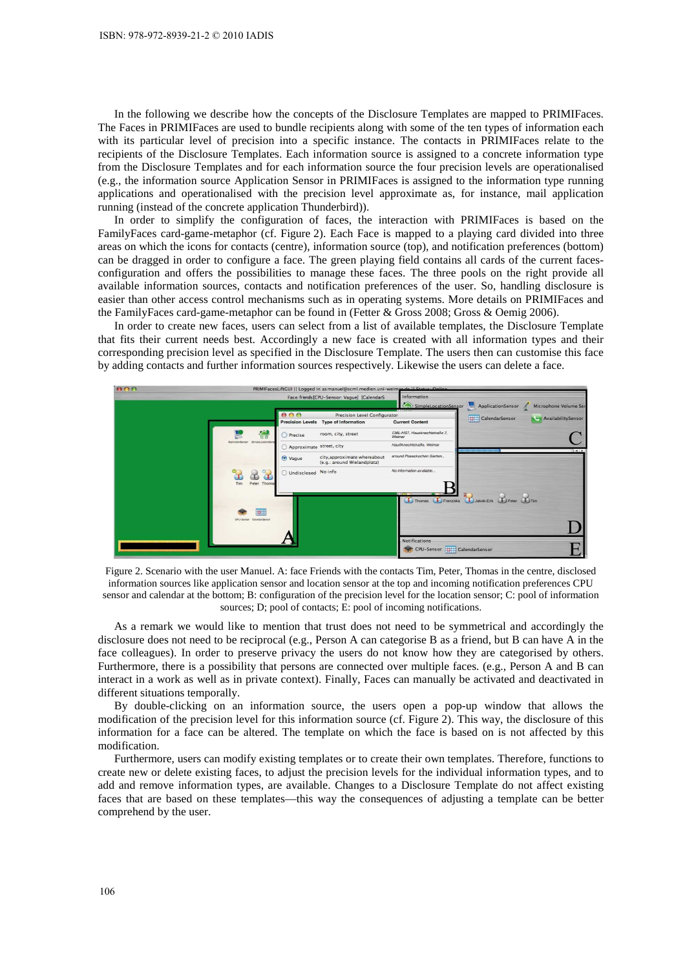In the following we describe how the concepts of the Disclosure Templates are mapped to PRIMIFaces. The Faces in PRIMIFaces are used to bundle recipients along with some of the ten types of information each with its particular level of precision into a specific instance. The contacts in PRIMIFaces relate to the recipients of the Disclosure Templates. Each information source is assigned to a concrete information type from the Disclosure Templates and for each information source the four precision levels are operationalised (e.g., the information source Application Sensor in PRIMIFaces is assigned to the information type running applications and operationalised with the precision level approximate as, for instance, mail application running (instead of the concrete application Thunderbird)).

In order to simplify the configuration of faces, the interaction with PRIMIFaces is based on the FamilyFaces card-game-metaphor (cf. Figure 2). Each Face is mapped to a playing card divided into three areas on which the icons for contacts (centre), information source (top), and notification preferences (bottom) can be dragged in order to configure a face. The green playing field contains all cards of the current facesconfiguration and offers the possibilities to manage these faces. The three pools on the right provide all available information sources, contacts and notification preferences of the user. So, handling disclosure is easier than other access control mechanisms such as in operating systems. More details on PRIMIFaces and the FamilyFaces card-game-metaphor can be found in (Fetter & Gross 2008; Gross & Oemig 2006).

In order to create new faces, users can select from a list of available templates, the Disclosure Template that fits their current needs best. Accordingly a new face is created with all information types and their corresponding precision level as specified in the Disclosure Template. The users then can customise this face by adding contacts and further information sources respectively. Likewise the users can delete a face.



Figure 2. Scenario with the user Manuel. A: face Friends with the contacts Tim, Peter, Thomas in the centre, disclosed information sources like application sensor and location sensor at the top and incoming notification preferences CPU sensor and calendar at the bottom; B: configuration of the precision level for the location sensor; C: pool of information sources; D; pool of contacts; E: pool of incoming notifications.

As a remark we would like to mention that trust does not need to be symmetrical and accordingly the disclosure does not need to be reciprocal (e.g., Person A can categorise B as a friend, but B can have A in the face colleagues). In order to preserve privacy the users do not know how they are categorised by others. Furthermore, there is a possibility that persons are connected over multiple faces. (e.g., Person A and B can interact in a work as well as in private context). Finally, Faces can manually be activated and deactivated in different situations temporally.

By double-clicking on an information source, the users open a pop-up window that allows the modification of the precision level for this information source (cf. Figure 2). This way, the disclosure of this information for a face can be altered. The template on which the face is based on is not affected by this modification.

Furthermore, users can modify existing templates or to create their own templates. Therefore, functions to create new or delete existing faces, to adjust the precision levels for the individual information types, and to add and remove information types, are available. Changes to a Disclosure Template do not affect existing faces that are based on these templates—this way the consequences of adjusting a template can be better comprehend by the user.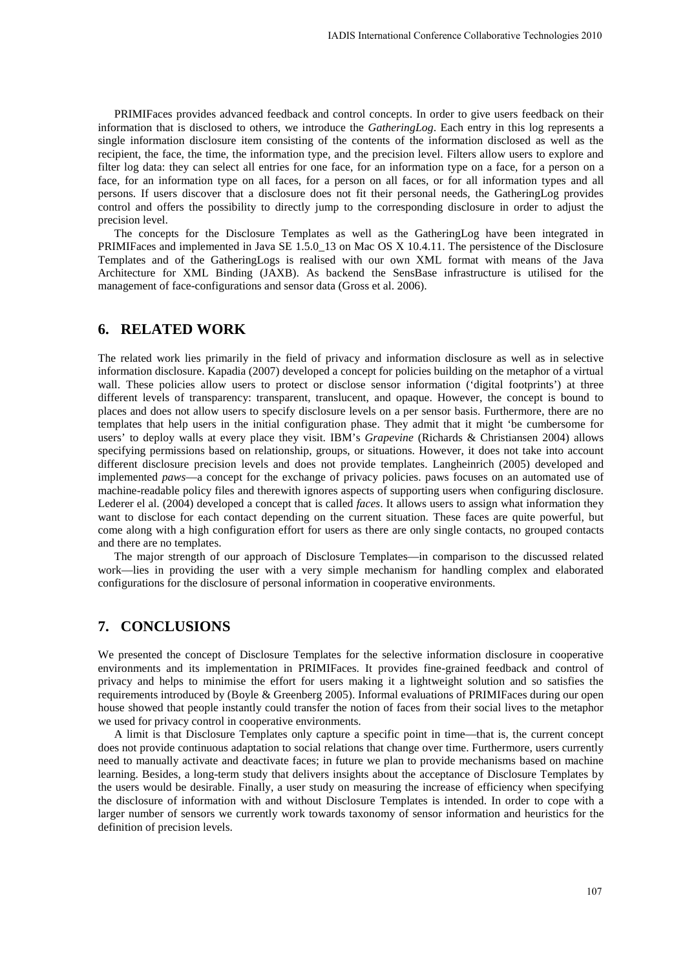PRIMIFaces provides advanced feedback and control concepts. In order to give users feedback on their information that is disclosed to others, we introduce the *GatheringLog*. Each entry in this log represents a single information disclosure item consisting of the contents of the information disclosed as well as the recipient, the face, the time, the information type, and the precision level. Filters allow users to explore and filter log data: they can select all entries for one face, for an information type on a face, for a person on a face, for an information type on all faces, for a person on all faces, or for all information types and all persons. If users discover that a disclosure does not fit their personal needs, the GatheringLog provides control and offers the possibility to directly jump to the corresponding disclosure in order to adjust the precision level.

The concepts for the Disclosure Templates as well as the GatheringLog have been integrated in PRIMIFaces and implemented in Java SE 1.5.0\_13 on Mac OS X 10.4.11. The persistence of the Disclosure Templates and of the GatheringLogs is realised with our own XML format with means of the Java Architecture for XML Binding (JAXB). As backend the SensBase infrastructure is utilised for the management of face-configurations and sensor data (Gross et al. 2006).

#### **6. RELATED WORK**

The related work lies primarily in the field of privacy and information disclosure as well as in selective information disclosure. Kapadia (2007) developed a concept for policies building on the metaphor of a virtual wall. These policies allow users to protect or disclose sensor information ('digital footprints') at three different levels of transparency: transparent, translucent, and opaque. However, the concept is bound to places and does not allow users to specify disclosure levels on a per sensor basis. Furthermore, there are no templates that help users in the initial configuration phase. They admit that it might 'be cumbersome for users' to deploy walls at every place they visit. IBM's *Grapevine* (Richards & Christiansen 2004) allows specifying permissions based on relationship, groups, or situations. However, it does not take into account different disclosure precision levels and does not provide templates. Langheinrich (2005) developed and implemented *paws*—a concept for the exchange of privacy policies. paws focuses on an automated use of machine-readable policy files and therewith ignores aspects of supporting users when configuring disclosure. Lederer el al. (2004) developed a concept that is called *faces*. It allows users to assign what information they want to disclose for each contact depending on the current situation. These faces are quite powerful, but come along with a high configuration effort for users as there are only single contacts, no grouped contacts and there are no templates.

The major strength of our approach of Disclosure Templates—in comparison to the discussed related work—lies in providing the user with a very simple mechanism for handling complex and elaborated configurations for the disclosure of personal information in cooperative environments.

# **7. CONCLUSIONS**

We presented the concept of Disclosure Templates for the selective information disclosure in cooperative environments and its implementation in PRIMIFaces. It provides fine-grained feedback and control of privacy and helps to minimise the effort for users making it a lightweight solution and so satisfies the requirements introduced by (Boyle & Greenberg 2005). Informal evaluations of PRIMIFaces during our open house showed that people instantly could transfer the notion of faces from their social lives to the metaphor we used for privacy control in cooperative environments.

A limit is that Disclosure Templates only capture a specific point in time—that is, the current concept does not provide continuous adaptation to social relations that change over time. Furthermore, users currently need to manually activate and deactivate faces; in future we plan to provide mechanisms based on machine learning. Besides, a long-term study that delivers insights about the acceptance of Disclosure Templates by the users would be desirable. Finally, a user study on measuring the increase of efficiency when specifying the disclosure of information with and without Disclosure Templates is intended. In order to cope with a larger number of sensors we currently work towards taxonomy of sensor information and heuristics for the definition of precision levels.